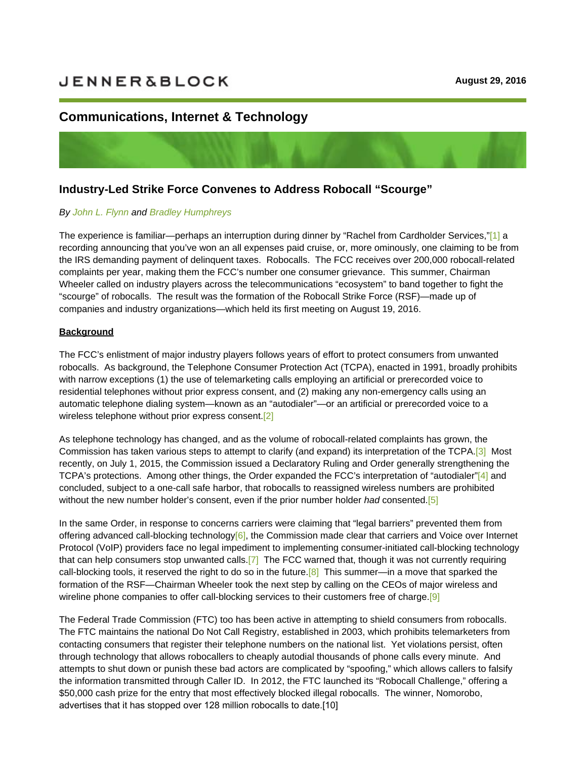# **JENNER&BLOCK**

# **[Communications, Internet & Techno](https://sites-jenner.vuturevx.com/30/564/august-2016/industry-led-strikeforce-convenes-to-address-robocall--scourge-----attorney-advertising.asp#)logy**

## **Industry-Led Strike Force Convenes to Address Robocall "Scourge"**

#### *By John L. Flynn and Bradley Humphreys*

Th[e experience is](https://jenner.com/people/JohnFlynn) fa[miliar—perhaps an int](https://jenner.com/people/BradleyHumphreys)erruption during dinner by "Rachel from Cardholder Services,"[1] a recording announcing that you've won an all expenses paid cruise, or, more ominously, one claiming to be from the IRS demanding payment of delinquent taxes. Robocalls. The FCC receives over 200,000 robocall-r[ela](https://sites-jenner.vuturevx.com/30/564/august-2016/industry-led-strikeforce-convenes-to-address-robocall--scourge-----attorney-advertising.asp#ftn1)ted complaints per year, making them the FCC's number one consumer grievance. This summer, Chairman Wheeler called on industry players across the telecommunications "ecosystem" to band together to fight the "scourge" of robocalls. The result was the formation of the Robocall Strike Force (RSF)—made up of companies and industry organizations—which held its first meeting on August 19, 2016.

#### **Background**

The FCC's enlistment of major industry players follows years of effort to protect consumers from unwanted robocalls. As background, the Telephone Consumer Protection Act (TCPA), enacted in 1991, broadly prohibits with narrow exceptions (1) the use of telemarketing calls employing an artificial or prerecorded voice to residential telephones without prior express consent, and (2) making any non-emergency calls using an automatic telephone dialing system—known as an "autodialer"—or an artificial or prerecorded voice to a wireless telephone without prior express consent.[2]

As telephone technology has changed, and as th[e vo](https://sites-jenner.vuturevx.com/30/564/august-2016/industry-led-strikeforce-convenes-to-address-robocall--scourge-----attorney-advertising.asp#ftn2)lume of robocall-related complaints has grown, the Commission has taken various steps to attempt to clarify (and expand) its interpretation of the TCPA.[3] Most recently, on July 1, 2015, the Commission issued a Declaratory Ruling and Order generally strengthening the TCPA's protections. Among other things, the Order expanded the FCC's interpretation of "autodialer"[\[4\]](https://sites-jenner.vuturevx.com/30/564/august-2016/industry-led-strikeforce-convenes-to-address-robocall--scourge-----attorney-advertising.asp#ftn3) and concluded, subject to a one-call safe harbor, that robocalls to reassigned wireless numbers are prohibited without the new number holder's consent, even if the prior number holder *had* consented.[5]

In the same Order, in response to concerns carriers were claiming that "legal barriers" pre[ven](https://sites-jenner.vuturevx.com/30/564/august-2016/industry-led-strikeforce-convenes-to-address-robocall--scourge-----attorney-advertising.asp#ftn5)ted them from offering advanced call-blocking technology[6], the Commission made clear that carriers and Voice over Internet Protocol (VoIP) providers face no legal impediment to implementing consumer-initiated call-blocking technology that can help consumers stop unwanted ca[lls.](https://sites-jenner.vuturevx.com/30/564/august-2016/industry-led-strikeforce-convenes-to-address-robocall--scourge-----attorney-advertising.asp#ftn6)[7] The FCC warned that, though it was not currently requiring call-blocking tools, it reserved the right to do so in the future.<sup>[8]</sup> This summer—in a move that sparked the formation of the RSF—Chairman Wheeler too[k th](https://sites-jenner.vuturevx.com/30/564/august-2016/industry-led-strikeforce-convenes-to-address-robocall--scourge-----attorney-advertising.asp#ftn7)e next step by calling on the CEOs of major wireless and wireline phone companies to offer call-blocking services to t[heir](https://sites-jenner.vuturevx.com/30/564/august-2016/industry-led-strikeforce-convenes-to-address-robocall--scourge-----attorney-advertising.asp#ftn8) customers free of charge.<sup>[9]</sup>

The Federal Trade Commission (FTC) too has been active in attempting to shield consum[ers](https://sites-jenner.vuturevx.com/30/564/august-2016/industry-led-strikeforce-convenes-to-address-robocall--scourge-----attorney-advertising.asp#ftn9) from robocalls. The FTC maintains the national Do Not Call Registry, established in 2003, which prohibits telemarketers from contacting consumers that register their telephone numbers on the national list. Yet violations persist, often through technology that allows robocallers to cheaply autodial thousands of phone calls every minute. And attempts to shut down or punish these bad actors are complicated by "spoofing," which allows callers to falsify the information transmitted through Caller ID. In 2012, the FTC launched its "Robocall Challenge," offering a \$50,000 cash prize for the entry that most effectively blocked illegal robocalls. The winner, Nomorobo, advertises that it has stopped over 128 million robocalls to date.[10]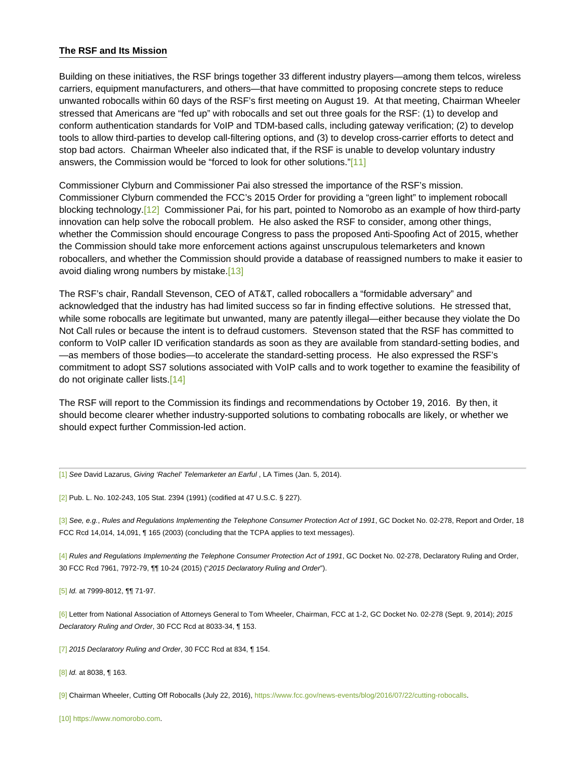#### **The RSF and Its Mission**

Building on these initiatives, the RSF brings together 33 different industry players—among them telcos, wireless carriers, equipment manufacturers, and others—that have committed to proposing concrete steps to reduce unwanted robocalls within 60 days of the RSF's first meeting on August 19. At that meeting, Chairman Wheeler stressed that Americans are "fed up" with robocalls and set out three goals for the RSF: (1) to develop and conform authentication standards for VoIP and TDM-based calls, including gateway verification; (2) to develop tools to allow third-parties to develop call-filtering options, and (3) to develop cross-carrier efforts to detect and stop bad actors. Chairman Wheeler also indicated that, if the RSF is unable to develop voluntary industry answers, the Commission would be "forced to look for other solutions."[\[11\]](https://sites-jenner.vuturevx.com/30/564/august-2016/industry-led-strikeforce-convenes-to-address-robocall--scourge-----attorney-advertising.asp#ftn11)

Commissioner Clyburn and Commissioner Pai also stressed the importance of the RSF's mission. Commissioner Clyburn commended the FCC's 2015 Order for providing a "green light" to implement robocall blocking technology.[[12\]](https://sites-jenner.vuturevx.com/30/564/august-2016/industry-led-strikeforce-convenes-to-address-robocall--scourge-----attorney-advertising.asp#ftn12) Commissioner Pai, for his part, pointed to Nomorobo as an example of how third-party innovation can help solve the robocall problem. He also asked the RSF to consider, among other things, whether the Commission should encourage Congress to pass the proposed Anti-Spoofing Act of 2015, whether the Commission should take more enforcement actions against unscrupulous telemarketers and known robocallers, and whether the Commission should provide a database of reassigned numbers to make it easier to avoid dialing wrong numbers by mistake.[\[13\]](https://sites-jenner.vuturevx.com/30/564/august-2016/industry-led-strikeforce-convenes-to-address-robocall--scourge-----attorney-advertising.asp#ftn13)

The RSF's chair, Randall Stevenson, CEO of AT&T, called robocallers a "formidable adversary" and acknowledged that the industry has had limited success so far in finding effective solutions. He stressed that, while some robocalls are legitimate but unwanted, many are patently illegal—either because they violate the Do Not Call rules or because the intent is to defraud customers. Stevenson stated that the RSF has committed to conform to VoIP caller ID verification standards as soon as they are available from standard-setting bodies, and —as members of those bodies—to accelerate the standard-setting process. He also expressed the RSF's commitment to adopt SS7 solutions associated with VoIP calls and to work together to examine the feasibility of do not originate caller lists.[[14\]](https://sites-jenner.vuturevx.com/30/564/august-2016/industry-led-strikeforce-convenes-to-address-robocall--scourge-----attorney-advertising.asp#ftn14)

The RSF will report to the Commission its findings and recommendations by October 19, 2016. By then, it should become clearer whether industry-supported solutions to combating robocalls are likely, or whether we should expect further Commission-led action.

[\[1\]](file:///C:/Users/millers/AppData/Local/Microsoft/Windows/Temporary%20Internet%20Files/Content.Outlook/ALHW78A5/WASHINGTON_DC-%2388774-v2-CIT_-_August_Client_Alert_(Robocalls).DOCX#_ftnref1) *See* David Lazarus, *Giving 'Rachel' Telemarketer an Earful* , LA Times (Jan. 5, 2014).

[\[2\]](file:///C:/Users/millers/AppData/Local/Microsoft/Windows/Temporary%20Internet%20Files/Content.Outlook/ALHW78A5/WASHINGTON_DC-%2388774-v2-CIT_-_August_Client_Alert_(Robocalls).DOCX#_ftnref2) Pub. L. No. 102-243, 105 Stat. 2394 (1991) (codified at 47 U.S.C. § 227).

[\[3\]](file:///C:/Users/millers/AppData/Local/Microsoft/Windows/Temporary%20Internet%20Files/Content.Outlook/ALHW78A5/WASHINGTON_DC-%2388774-v2-CIT_-_August_Client_Alert_(Robocalls).DOCX#_ftnref3) *See, e.g.*, *Rules and Regulations Implementing the Telephone Consumer Protection Act of 1991*, GC Docket No. 02-278, Report and Order, 18 FCC Rcd 14,014, 14,091, ¶ 165 (2003) (concluding that the TCPA applies to text messages).

[\[4\]](file:///C:/Users/millers/AppData/Local/Microsoft/Windows/Temporary%20Internet%20Files/Content.Outlook/ALHW78A5/WASHINGTON_DC-%2388774-v2-CIT_-_August_Client_Alert_(Robocalls).DOCX#_ftnref4) *Rules and Regulations Implementing the Telephone Consumer Protection Act of 1991, GC Docket No. 02-278, Declaratory Ruling and Order,* 30 FCC Rcd 7961, 7972-79,  $\P$  10-24 (2015) ("2015 Declaratory Ruling and Order").

[\[5\]](file:///C:/Users/millers/AppData/Local/Microsoft/Windows/Temporary%20Internet%20Files/Content.Outlook/ALHW78A5/WASHINGTON_DC-%2388774-v2-CIT_-_August_Client_Alert_(Robocalls).DOCX#_ftnref5) *Id.* at 7999-8012, ¶¶ 71-97.

[\[6\]](file:///C:/Users/millers/AppData/Local/Microsoft/Windows/Temporary%20Internet%20Files/Content.Outlook/ALHW78A5/WASHINGTON_DC-%2388774-v2-CIT_-_August_Client_Alert_(Robocalls).DOCX#_ftnref6) Letter from National Association of Attorneys General to Tom Wheeler, Chairman, FCC at 1-2, GC Docket No. 02-278 (Sept. 9, 2014); *2015 Declaratory Ruling and Order*, 30 FCC Rcd at 8033-34, ¶ 153.

[\[7\]](file:///C:/Users/millers/AppData/Local/Microsoft/Windows/Temporary%20Internet%20Files/Content.Outlook/ALHW78A5/WASHINGTON_DC-%2388774-v2-CIT_-_August_Client_Alert_(Robocalls).DOCX#_ftnref7) *2015 Declaratory Ruling and Order*, 30 FCC Rcd at 834, ¶ 154.

[\[8\]](file:///C:/Users/millers/AppData/Local/Microsoft/Windows/Temporary%20Internet%20Files/Content.Outlook/ALHW78A5/WASHINGTON_DC-%2388774-v2-CIT_-_August_Client_Alert_(Robocalls).DOCX#_ftnref8) *Id.* at 8038, ¶ 163.

[\[9\]](file:///C:/Users/millers/AppData/Local/Microsoft/Windows/Temporary%20Internet%20Files/Content.Outlook/ALHW78A5/WASHINGTON_DC-%2388774-v2-CIT_-_August_Client_Alert_(Robocalls).DOCX#_ftnref9) Chairman Wheeler, Cutting Off Robocalls (July 22, 2016),<https://www.fcc.gov/news-events/blog/2016/07/22/cutting-robocalls>.